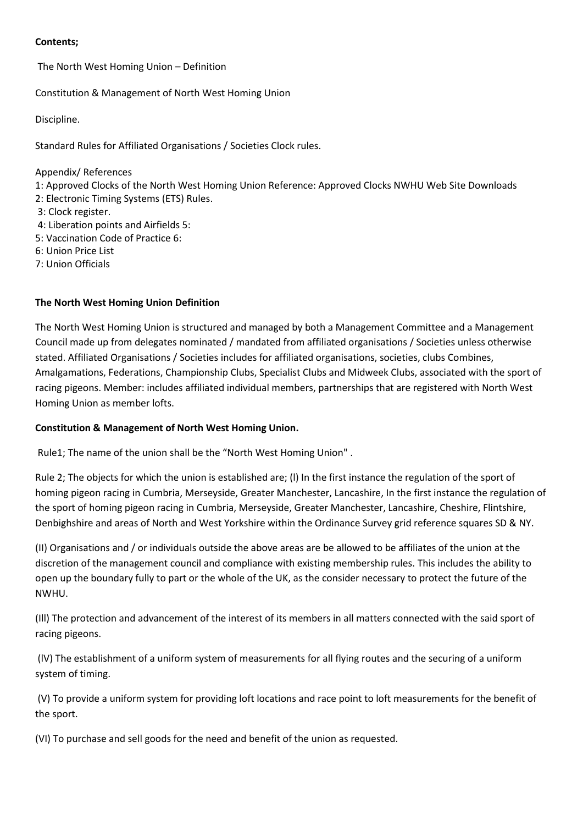### **Contents;**

The North West Homing Union – Definition

Constitution & Management of North West Homing Union

Discipline.

Standard Rules for Affiliated Organisations / Societies Clock rules.

Appendix/ References

1: Approved Clocks of the North West Homing Union Reference: Approved Clocks NWHU Web Site Downloads

- 2: Electronic Timing Systems (ETS) Rules.
- 3: Clock register.
- 4: Liberation points and Airfields 5:
- 5: Vaccination Code of Practice 6:
- 6: Union Price List
- 7: Union Officials

# **The North West Homing Union Definition**

The North West Homing Union is structured and managed by both a Management Committee and a Management Council made up from delegates nominated / mandated from affiliated organisations / Societies unless otherwise stated. Affiliated Organisations / Societies includes for affiliated organisations, societies, clubs Combines, Amalgamations, Federations, Championship Clubs, Specialist Clubs and Midweek Clubs, associated with the sport of racing pigeons. Member: includes affiliated individual members, partnerships that are registered with North West Homing Union as member lofts.

# **Constitution & Management of North West Homing Union.**

Rule1; The name of the union shall be the "North West Homing Union" .

Rule 2; The objects for which the union is established are; (l) In the first instance the regulation of the sport of homing pigeon racing in Cumbria, Merseyside, Greater Manchester, Lancashire, In the first instance the regulation of the sport of homing pigeon racing in Cumbria, Merseyside, Greater Manchester, Lancashire, Cheshire, Flintshire, Denbighshire and areas of North and West Yorkshire within the Ordinance Survey grid reference squares SD & NY.

(II) Organisations and / or individuals outside the above areas are be allowed to be affiliates of the union at the discretion of the management council and compliance with existing membership rules. This includes the ability to open up the boundary fully to part or the whole of the UK, as the consider necessary to protect the future of the NWHU.

(Ill) The protection and advancement of the interest of its members in all matters connected with the said sport of racing pigeons.

(lV) The establishment of a uniform system of measurements for all flying routes and the securing of a uniform system of timing.

(V) To provide a uniform system for providing loft locations and race point to loft measurements for the benefit of the sport.

(VI) To purchase and sell goods for the need and benefit of the union as requested.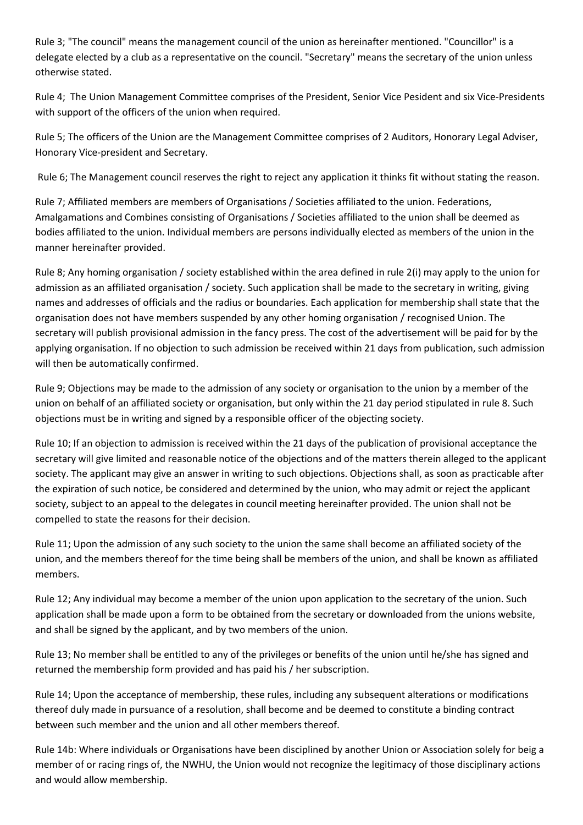Rule 3; "The council" means the management council of the union as hereinafter mentioned. "Councillor" is a delegate elected by a club as a representative on the council. "Secretary" means the secretary of the union unless otherwise stated.

Rule 4; The Union Management Committee comprises of the President, Senior Vice Pesident and six Vice-Presidents with support of the officers of the union when required.

Rule 5; The officers of the Union are the Management Committee comprises of 2 Auditors, Honorary Legal Adviser, Honorary Vice-president and Secretary.

Rule 6; The Management council reserves the right to reject any application it thinks fit without stating the reason.

Rule 7; Affiliated members are members of Organisations / Societies affiliated to the union. Federations, Amalgamations and Combines consisting of Organisations / Societies affiliated to the union shall be deemed as bodies affiliated to the union. Individual members are persons individually elected as members of the union in the manner hereinafter provided.

Rule 8; Any homing organisation / society established within the area defined in rule 2(i) may apply to the union for admission as an affiliated organisation / society. Such application shall be made to the secretary in writing, giving names and addresses of officials and the radius or boundaries. Each application for membership shall state that the organisation does not have members suspended by any other homing organisation / recognised Union. The secretary will publish provisional admission in the fancy press. The cost of the advertisement will be paid for by the applying organisation. If no objection to such admission be received within 21 days from publication, such admission will then be automatically confirmed.

Rule 9; Objections may be made to the admission of any society or organisation to the union by a member of the union on behalf of an affiliated society or organisation, but only within the 21 day period stipulated in rule 8. Such objections must be in writing and signed by a responsible officer of the objecting society.

Rule 10; If an objection to admission is received within the 21 days of the publication of provisional acceptance the secretary will give limited and reasonable notice of the objections and of the matters therein alleged to the applicant society. The applicant may give an answer in writing to such objections. Objections shall, as soon as practicable after the expiration of such notice, be considered and determined by the union, who may admit or reject the applicant society, subject to an appeal to the delegates in council meeting hereinafter provided. The union shall not be compelled to state the reasons for their decision.

Rule 11; Upon the admission of any such society to the union the same shall become an affiliated society of the union, and the members thereof for the time being shall be members of the union, and shall be known as affiliated members.

Rule 12; Any individual may become a member of the union upon application to the secretary of the union. Such application shall be made upon a form to be obtained from the secretary or downloaded from the unions website, and shall be signed by the applicant, and by two members of the union.

Rule 13; No member shall be entitled to any of the privileges or benefits of the union until he/she has signed and returned the membership form provided and has paid his / her subscription.

Rule 14; Upon the acceptance of membership, these rules, including any subsequent alterations or modifications thereof duly made in pursuance of a resolution, shall become and be deemed to constitute a binding contract between such member and the union and all other members thereof.

Rule 14b: Where individuals or Organisations have been disciplined by another Union or Association solely for beig a member of or racing rings of, the NWHU, the Union would not recognize the legitimacy of those disciplinary actions and would allow membership.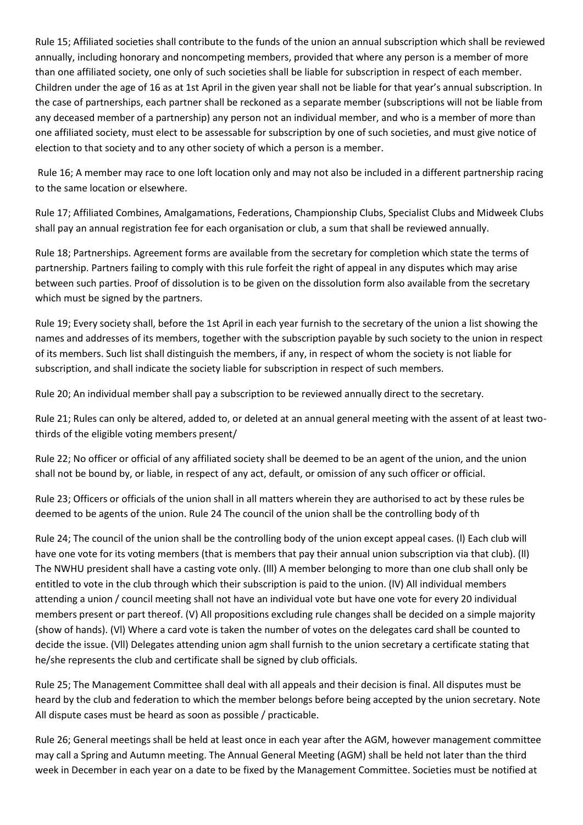Rule 15; Affiliated societies shall contribute to the funds of the union an annual subscription which shall be reviewed annually, including honorary and noncompeting members, provided that where any person is a member of more than one affiliated society, one only of such societies shall be liable for subscription in respect of each member. Children under the age of 16 as at 1st April in the given year shall not be liable for that year's annual subscription. In the case of partnerships, each partner shall be reckoned as a separate member (subscriptions will not be liable from any deceased member of a partnership) any person not an individual member, and who is a member of more than one affiliated society, must elect to be assessable for subscription by one of such societies, and must give notice of election to that society and to any other society of which a person is a member.

Rule 16; A member may race to one loft location only and may not also be included in a different partnership racing to the same location or elsewhere.

Rule 17; Affiliated Combines, Amalgamations, Federations, Championship Clubs, Specialist Clubs and Midweek Clubs shall pay an annual registration fee for each organisation or club, a sum that shall be reviewed annually.

Rule 18; Partnerships. Agreement forms are available from the secretary for completion which state the terms of partnership. Partners failing to comply with this rule forfeit the right of appeal in any disputes which may arise between such parties. Proof of dissolution is to be given on the dissolution form also available from the secretary which must be signed by the partners.

Rule 19; Every society shall, before the 1st April in each year furnish to the secretary of the union a list showing the names and addresses of its members, together with the subscription payable by such society to the union in respect of its members. Such list shall distinguish the members, if any, in respect of whom the society is not liable for subscription, and shall indicate the society liable for subscription in respect of such members.

Rule 20; An individual member shall pay a subscription to be reviewed annually direct to the secretary.

Rule 21; Rules can only be altered, added to, or deleted at an annual general meeting with the assent of at least twothirds of the eligible voting members present/

Rule 22; No officer or official of any affiliated society shall be deemed to be an agent of the union, and the union shall not be bound by, or liable, in respect of any act, default, or omission of any such officer or official.

Rule 23; Officers or officials of the union shall in all matters wherein they are authorised to act by these rules be deemed to be agents of the union. Rule 24 The council of the union shall be the controlling body of th

Rule 24; The council of the union shall be the controlling body of the union except appeal cases. (l) Each club will have one vote for its voting members (that is members that pay their annual union subscription via that club). (II) The NWHU president shall have a casting vote only. (lll) A member belonging to more than one club shall only be entitled to vote in the club through which their subscription is paid to the union. (lV) All individual members attending a union / council meeting shall not have an individual vote but have one vote for every 20 individual members present or part thereof. (V) All propositions excluding rule changes shall be decided on a simple majority (show of hands). (Vl) Where a card vote is taken the number of votes on the delegates card shall be counted to decide the issue. (Vll) Delegates attending union agm shall furnish to the union secretary a certificate stating that he/she represents the club and certificate shall be signed by club officials.

Rule 25; The Management Committee shall deal with all appeals and their decision is final. All disputes must be heard by the club and federation to which the member belongs before being accepted by the union secretary. Note All dispute cases must be heard as soon as possible / practicable.

Rule 26; General meetings shall be held at least once in each year after the AGM, however management committee may call a Spring and Autumn meeting. The Annual General Meeting (AGM) shall be held not later than the third week in December in each year on a date to be fixed by the Management Committee. Societies must be notified at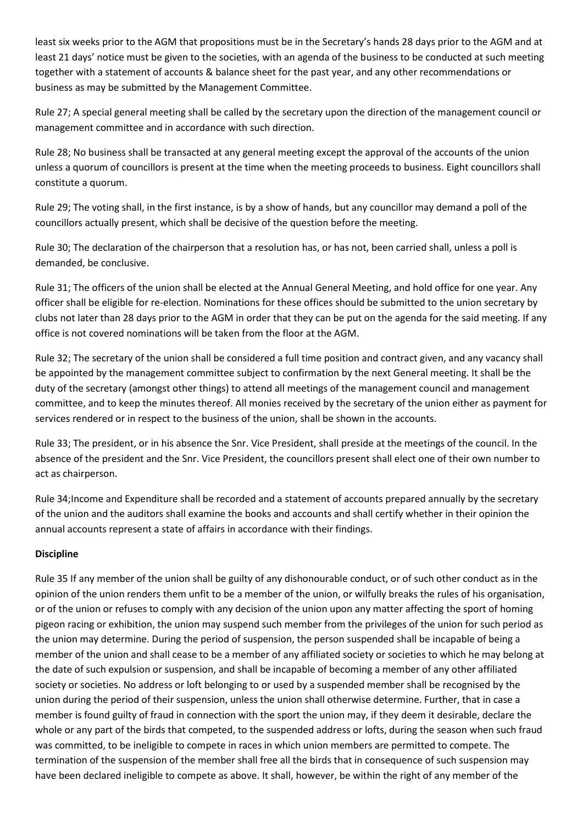least six weeks prior to the AGM that propositions must be in the Secretary's hands 28 days prior to the AGM and at least 21 days' notice must be given to the societies, with an agenda of the business to be conducted at such meeting together with a statement of accounts & balance sheet for the past year, and any other recommendations or business as may be submitted by the Management Committee.

Rule 27; A special general meeting shall be called by the secretary upon the direction of the management council or management committee and in accordance with such direction.

Rule 28; No business shall be transacted at any general meeting except the approval of the accounts of the union unless a quorum of councillors is present at the time when the meeting proceeds to business. Eight councillors shall constitute a quorum.

Rule 29; The voting shall, in the first instance, is by a show of hands, but any councillor may demand a poll of the councillors actually present, which shall be decisive of the question before the meeting.

Rule 30; The declaration of the chairperson that a resolution has, or has not, been carried shall, unless a poll is demanded, be conclusive.

Rule 31; The officers of the union shall be elected at the Annual General Meeting, and hold office for one year. Any officer shall be eligible for re-election. Nominations for these offices should be submitted to the union secretary by clubs not later than 28 days prior to the AGM in order that they can be put on the agenda for the said meeting. If any office is not covered nominations will be taken from the floor at the AGM.

Rule 32; The secretary of the union shall be considered a full time position and contract given, and any vacancy shall be appointed by the management committee subject to confirmation by the next General meeting. It shall be the duty of the secretary (amongst other things) to attend all meetings of the management council and management committee, and to keep the minutes thereof. All monies received by the secretary of the union either as payment for services rendered or in respect to the business of the union, shall be shown in the accounts.

Rule 33; The president, or in his absence the Snr. Vice President, shall preside at the meetings of the council. In the absence of the president and the Snr. Vice President, the councillors present shall elect one of their own number to act as chairperson.

Rule 34;Income and Expenditure shall be recorded and a statement of accounts prepared annually by the secretary of the union and the auditors shall examine the books and accounts and shall certify whether in their opinion the annual accounts represent a state of affairs in accordance with their findings.

# **Discipline**

Rule 35 If any member of the union shall be guilty of any dishonourable conduct, or of such other conduct as in the opinion of the union renders them unfit to be a member of the union, or wilfully breaks the rules of his organisation, or of the union or refuses to comply with any decision of the union upon any matter affecting the sport of homing pigeon racing or exhibition, the union may suspend such member from the privileges of the union for such period as the union may determine. During the period of suspension, the person suspended shall be incapable of being a member of the union and shall cease to be a member of any affiliated society or societies to which he may belong at the date of such expulsion or suspension, and shall be incapable of becoming a member of any other affiliated society or societies. No address or loft belonging to or used by a suspended member shall be recognised by the union during the period of their suspension, unless the union shall otherwise determine. Further, that in case a member is found guilty of fraud in connection with the sport the union may, if they deem it desirable, declare the whole or any part of the birds that competed, to the suspended address or lofts, during the season when such fraud was committed, to be ineligible to compete in races in which union members are permitted to compete. The termination of the suspension of the member shall free all the birds that in consequence of such suspension may have been declared ineligible to compete as above. It shall, however, be within the right of any member of the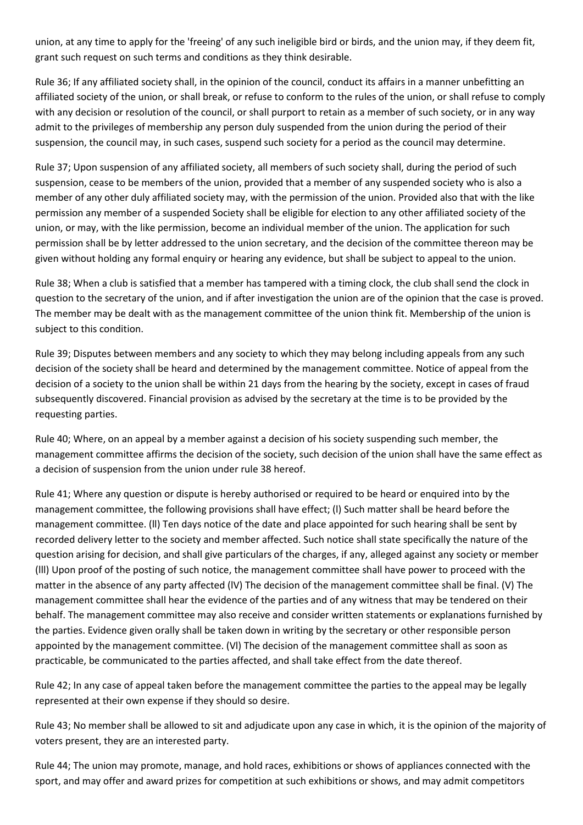union, at any time to apply for the 'freeing' of any such ineligible bird or birds, and the union may, if they deem fit, grant such request on such terms and conditions as they think desirable.

Rule 36; If any affiliated society shall, in the opinion of the council, conduct its affairs in a manner unbefitting an affiliated society of the union, or shall break, or refuse to conform to the rules of the union, or shall refuse to comply with any decision or resolution of the council, or shall purport to retain as a member of such society, or in any way admit to the privileges of membership any person duly suspended from the union during the period of their suspension, the council may, in such cases, suspend such society for a period as the council may determine.

Rule 37; Upon suspension of any affiliated society, all members of such society shall, during the period of such suspension, cease to be members of the union, provided that a member of any suspended society who is also a member of any other duly affiliated society may, with the permission of the union. Provided also that with the like permission any member of a suspended Society shall be eligible for election to any other affiliated society of the union, or may, with the like permission, become an individual member of the union. The application for such permission shall be by letter addressed to the union secretary, and the decision of the committee thereon may be given without holding any formal enquiry or hearing any evidence, but shall be subject to appeal to the union.

Rule 38; When a club is satisfied that a member has tampered with a timing clock, the club shall send the clock in question to the secretary of the union, and if after investigation the union are of the opinion that the case is proved. The member may be dealt with as the management committee of the union think fit. Membership of the union is subject to this condition.

Rule 39; Disputes between members and any society to which they may belong including appeals from any such decision of the society shall be heard and determined by the management committee. Notice of appeal from the decision of a society to the union shall be within 21 days from the hearing by the society, except in cases of fraud subsequently discovered. Financial provision as advised by the secretary at the time is to be provided by the requesting parties.

Rule 40; Where, on an appeal by a member against a decision of his society suspending such member, the management committee affirms the decision of the society, such decision of the union shall have the same effect as a decision of suspension from the union under rule 38 hereof.

Rule 41; Where any question or dispute is hereby authorised or required to be heard or enquired into by the management committee, the following provisions shall have effect; (l) Such matter shall be heard before the management committee. (ll) Ten days notice of the date and place appointed for such hearing shall be sent by recorded delivery letter to the society and member affected. Such notice shall state specifically the nature of the question arising for decision, and shall give particulars of the charges, if any, alleged against any society or member (lll) Upon proof of the posting of such notice, the management committee shall have power to proceed with the matter in the absence of any party affected (lV) The decision of the management committee shall be final. (V) The management committee shall hear the evidence of the parties and of any witness that may be tendered on their behalf. The management committee may also receive and consider written statements or explanations furnished by the parties. Evidence given orally shall be taken down in writing by the secretary or other responsible person appointed by the management committee. (Vl) The decision of the management committee shall as soon as practicable, be communicated to the parties affected, and shall take effect from the date thereof.

Rule 42; In any case of appeal taken before the management committee the parties to the appeal may be legally represented at their own expense if they should so desire.

Rule 43; No member shall be allowed to sit and adjudicate upon any case in which, it is the opinion of the majority of voters present, they are an interested party.

Rule 44; The union may promote, manage, and hold races, exhibitions or shows of appliances connected with the sport, and may offer and award prizes for competition at such exhibitions or shows, and may admit competitors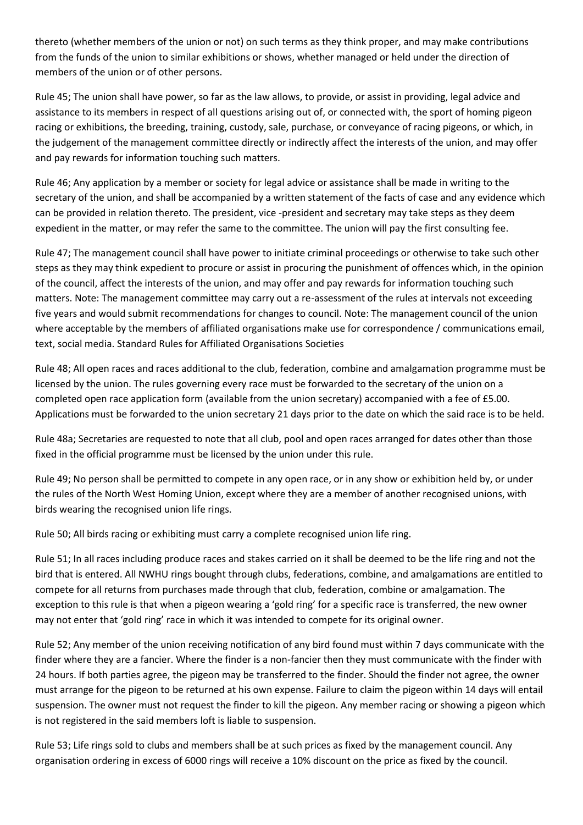thereto (whether members of the union or not) on such terms as they think proper, and may make contributions from the funds of the union to similar exhibitions or shows, whether managed or held under the direction of members of the union or of other persons.

Rule 45; The union shall have power, so far as the law allows, to provide, or assist in providing, legal advice and assistance to its members in respect of all questions arising out of, or connected with, the sport of homing pigeon racing or exhibitions, the breeding, training, custody, sale, purchase, or conveyance of racing pigeons, or which, in the judgement of the management committee directly or indirectly affect the interests of the union, and may offer and pay rewards for information touching such matters.

Rule 46; Any application by a member or society for legal advice or assistance shall be made in writing to the secretary of the union, and shall be accompanied by a written statement of the facts of case and any evidence which can be provided in relation thereto. The president, vice -president and secretary may take steps as they deem expedient in the matter, or may refer the same to the committee. The union will pay the first consulting fee.

Rule 47; The management council shall have power to initiate criminal proceedings or otherwise to take such other steps as they may think expedient to procure or assist in procuring the punishment of offences which, in the opinion of the council, affect the interests of the union, and may offer and pay rewards for information touching such matters. Note: The management committee may carry out a re-assessment of the rules at intervals not exceeding five years and would submit recommendations for changes to council. Note: The management council of the union where acceptable by the members of affiliated organisations make use for correspondence / communications email, text, social media. Standard Rules for Affiliated Organisations Societies

Rule 48; All open races and races additional to the club, federation, combine and amalgamation programme must be licensed by the union. The rules governing every race must be forwarded to the secretary of the union on a completed open race application form (available from the union secretary) accompanied with a fee of £5.00. Applications must be forwarded to the union secretary 21 days prior to the date on which the said race is to be held.

Rule 48a; Secretaries are requested to note that all club, pool and open races arranged for dates other than those fixed in the official programme must be licensed by the union under this rule.

Rule 49; No person shall be permitted to compete in any open race, or in any show or exhibition held by, or under the rules of the North West Homing Union, except where they are a member of another recognised unions, with birds wearing the recognised union life rings.

Rule 50; All birds racing or exhibiting must carry a complete recognised union life ring.

Rule 51; In all races including produce races and stakes carried on it shall be deemed to be the life ring and not the bird that is entered. All NWHU rings bought through clubs, federations, combine, and amalgamations are entitled to compete for all returns from purchases made through that club, federation, combine or amalgamation. The exception to this rule is that when a pigeon wearing a 'gold ring' for a specific race is transferred, the new owner may not enter that 'gold ring' race in which it was intended to compete for its original owner.

Rule 52; Any member of the union receiving notification of any bird found must within 7 days communicate with the finder where they are a fancier. Where the finder is a non-fancier then they must communicate with the finder with 24 hours. If both parties agree, the pigeon may be transferred to the finder. Should the finder not agree, the owner must arrange for the pigeon to be returned at his own expense. Failure to claim the pigeon within 14 days will entail suspension. The owner must not request the finder to kill the pigeon. Any member racing or showing a pigeon which is not registered in the said members loft is liable to suspension.

Rule 53; Life rings sold to clubs and members shall be at such prices as fixed by the management council. Any organisation ordering in excess of 6000 rings will receive a 10% discount on the price as fixed by the council.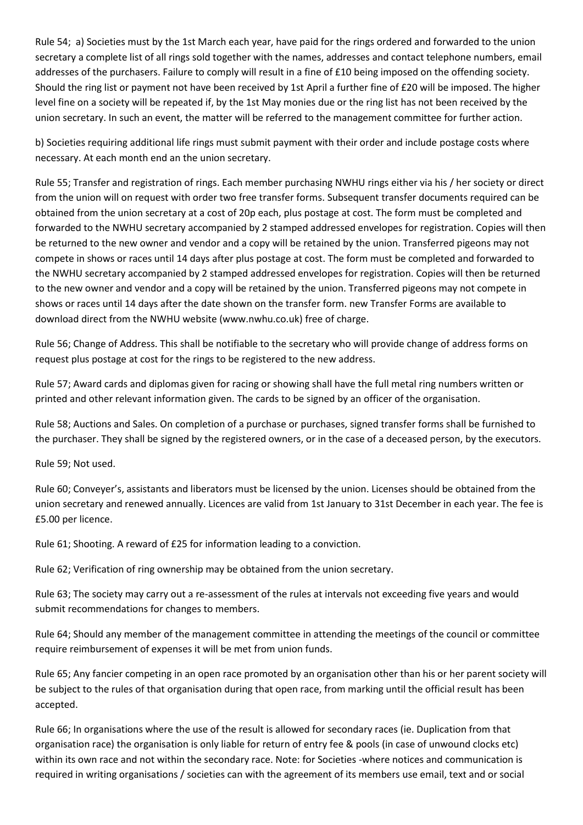Rule 54; a) Societies must by the 1st March each year, have paid for the rings ordered and forwarded to the union secretary a complete list of all rings sold together with the names, addresses and contact telephone numbers, email addresses of the purchasers. Failure to comply will result in a fine of £10 being imposed on the offending society. Should the ring list or payment not have been received by 1st April a further fine of £20 will be imposed. The higher level fine on a society will be repeated if, by the 1st May monies due or the ring list has not been received by the union secretary. In such an event, the matter will be referred to the management committee for further action.

b) Societies requiring additional life rings must submit payment with their order and include postage costs where necessary. At each month end an the union secretary.

Rule 55; Transfer and registration of rings. Each member purchasing NWHU rings either via his / her society or direct from the union will on request with order two free transfer forms. Subsequent transfer documents required can be obtained from the union secretary at a cost of 20p each, plus postage at cost. The form must be completed and forwarded to the NWHU secretary accompanied by 2 stamped addressed envelopes for registration. Copies will then be returned to the new owner and vendor and a copy will be retained by the union. Transferred pigeons may not compete in shows or races until 14 days after plus postage at cost. The form must be completed and forwarded to the NWHU secretary accompanied by 2 stamped addressed envelopes for registration. Copies will then be returned to the new owner and vendor and a copy will be retained by the union. Transferred pigeons may not compete in shows or races until 14 days after the date shown on the transfer form. new Transfer Forms are available to download direct from the NWHU website (www.nwhu.co.uk) free of charge.

Rule 56; Change of Address. This shall be notifiable to the secretary who will provide change of address forms on request plus postage at cost for the rings to be registered to the new address.

Rule 57; Award cards and diplomas given for racing or showing shall have the full metal ring numbers written or printed and other relevant information given. The cards to be signed by an officer of the organisation.

Rule 58; Auctions and Sales. On completion of a purchase or purchases, signed transfer forms shall be furnished to the purchaser. They shall be signed by the registered owners, or in the case of a deceased person, by the executors.

Rule 59; Not used.

Rule 60; Conveyer's, assistants and liberators must be licensed by the union. Licenses should be obtained from the union secretary and renewed annually. Licences are valid from 1st January to 31st December in each year. The fee is £5.00 per licence.

Rule 61; Shooting. A reward of £25 for information leading to a conviction.

Rule 62; Verification of ring ownership may be obtained from the union secretary.

Rule 63; The society may carry out a re-assessment of the rules at intervals not exceeding five years and would submit recommendations for changes to members.

Rule 64; Should any member of the management committee in attending the meetings of the council or committee require reimbursement of expenses it will be met from union funds.

Rule 65; Any fancier competing in an open race promoted by an organisation other than his or her parent society will be subject to the rules of that organisation during that open race, from marking until the official result has been accepted.

Rule 66; In organisations where the use of the result is allowed for secondary races (ie. Duplication from that organisation race) the organisation is only liable for return of entry fee & pools (in case of unwound clocks etc) within its own race and not within the secondary race. Note: for Societies -where notices and communication is required in writing organisations / societies can with the agreement of its members use email, text and or social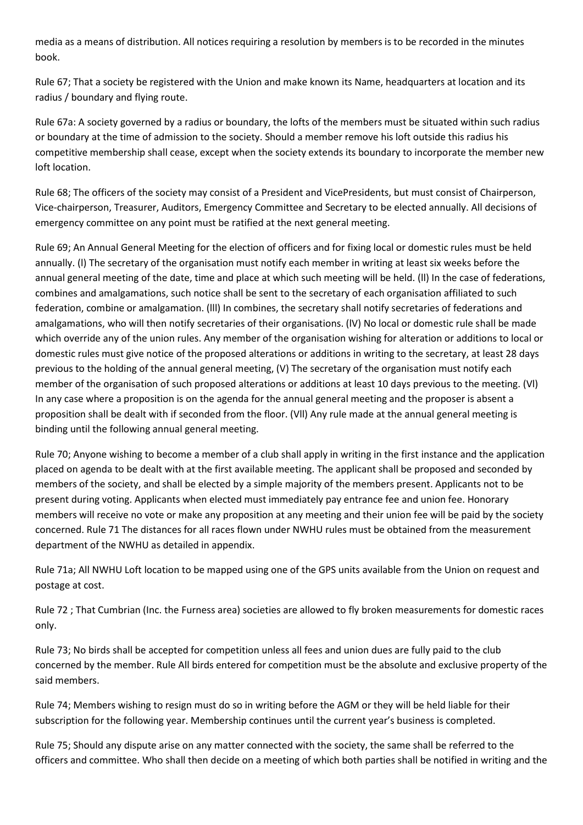media as a means of distribution. All notices requiring a resolution by members is to be recorded in the minutes book.

Rule 67; That a society be registered with the Union and make known its Name, headquarters at location and its radius / boundary and flying route.

Rule 67a: A society governed by a radius or boundary, the lofts of the members must be situated within such radius or boundary at the time of admission to the society. Should a member remove his loft outside this radius his competitive membership shall cease, except when the society extends its boundary to incorporate the member new loft location.

Rule 68; The officers of the society may consist of a President and VicePresidents, but must consist of Chairperson, Vice-chairperson, Treasurer, Auditors, Emergency Committee and Secretary to be elected annually. All decisions of emergency committee on any point must be ratified at the next general meeting.

Rule 69; An Annual General Meeting for the election of officers and for fixing local or domestic rules must be held annually. (l) The secretary of the organisation must notify each member in writing at least six weeks before the annual general meeting of the date, time and place at which such meeting will be held. (ll) In the case of federations, combines and amalgamations, such notice shall be sent to the secretary of each organisation affiliated to such federation, combine or amalgamation. (lll) In combines, the secretary shall notify secretaries of federations and amalgamations, who will then notify secretaries of their organisations. (lV) No local or domestic rule shall be made which override any of the union rules. Any member of the organisation wishing for alteration or additions to local or domestic rules must give notice of the proposed alterations or additions in writing to the secretary, at least 28 days previous to the holding of the annual general meeting, (V) The secretary of the organisation must notify each member of the organisation of such proposed alterations or additions at least 10 days previous to the meeting. (Vl) In any case where a proposition is on the agenda for the annual general meeting and the proposer is absent a proposition shall be dealt with if seconded from the floor. (Vll) Any rule made at the annual general meeting is binding until the following annual general meeting.

Rule 70; Anyone wishing to become a member of a club shall apply in writing in the first instance and the application placed on agenda to be dealt with at the first available meeting. The applicant shall be proposed and seconded by members of the society, and shall be elected by a simple majority of the members present. Applicants not to be present during voting. Applicants when elected must immediately pay entrance fee and union fee. Honorary members will receive no vote or make any proposition at any meeting and their union fee will be paid by the society concerned. Rule 71 The distances for all races flown under NWHU rules must be obtained from the measurement department of the NWHU as detailed in appendix.

Rule 71a; All NWHU Loft location to be mapped using one of the GPS units available from the Union on request and postage at cost.

Rule 72 ; That Cumbrian (Inc. the Furness area) societies are allowed to fly broken measurements for domestic races only.

Rule 73; No birds shall be accepted for competition unless all fees and union dues are fully paid to the club concerned by the member. Rule All birds entered for competition must be the absolute and exclusive property of the said members.

Rule 74; Members wishing to resign must do so in writing before the AGM or they will be held liable for their subscription for the following year. Membership continues until the current year's business is completed.

Rule 75; Should any dispute arise on any matter connected with the society, the same shall be referred to the officers and committee. Who shall then decide on a meeting of which both parties shall be notified in writing and the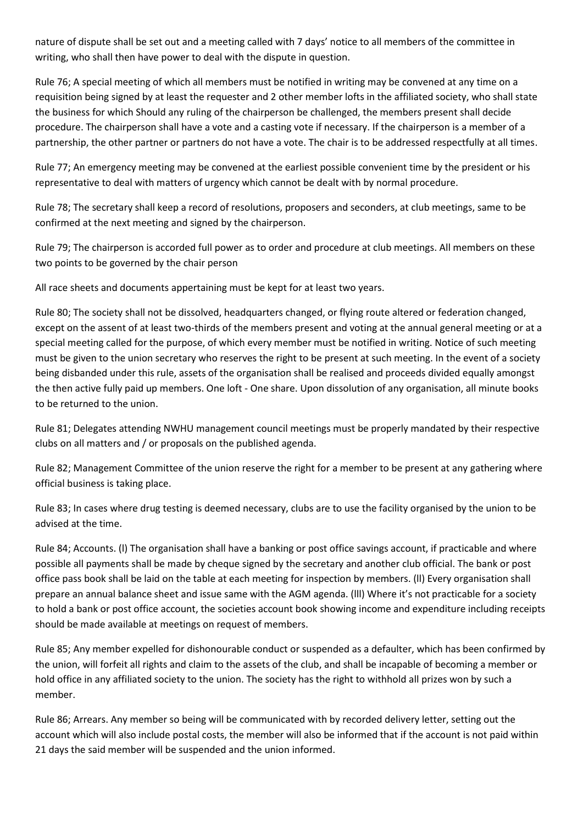nature of dispute shall be set out and a meeting called with 7 days' notice to all members of the committee in writing, who shall then have power to deal with the dispute in question.

Rule 76; A special meeting of which all members must be notified in writing may be convened at any time on a requisition being signed by at least the requester and 2 other member lofts in the affiliated society, who shall state the business for which Should any ruling of the chairperson be challenged, the members present shall decide procedure. The chairperson shall have a vote and a casting vote if necessary. If the chairperson is a member of a partnership, the other partner or partners do not have a vote. The chair is to be addressed respectfully at all times.

Rule 77; An emergency meeting may be convened at the earliest possible convenient time by the president or his representative to deal with matters of urgency which cannot be dealt with by normal procedure.

Rule 78; The secretary shall keep a record of resolutions, proposers and seconders, at club meetings, same to be confirmed at the next meeting and signed by the chairperson.

Rule 79; The chairperson is accorded full power as to order and procedure at club meetings. All members on these two points to be governed by the chair person

All race sheets and documents appertaining must be kept for at least two years.

Rule 80; The society shall not be dissolved, headquarters changed, or flying route altered or federation changed, except on the assent of at least two-thirds of the members present and voting at the annual general meeting or at a special meeting called for the purpose, of which every member must be notified in writing. Notice of such meeting must be given to the union secretary who reserves the right to be present at such meeting. In the event of a society being disbanded under this rule, assets of the organisation shall be realised and proceeds divided equally amongst the then active fully paid up members. One loft - One share. Upon dissolution of any organisation, all minute books to be returned to the union.

Rule 81; Delegates attending NWHU management council meetings must be properly mandated by their respective clubs on all matters and / or proposals on the published agenda.

Rule 82; Management Committee of the union reserve the right for a member to be present at any gathering where official business is taking place.

Rule 83; In cases where drug testing is deemed necessary, clubs are to use the facility organised by the union to be advised at the time.

Rule 84; Accounts. (l) The organisation shall have a banking or post office savings account, if practicable and where possible all payments shall be made by cheque signed by the secretary and another club official. The bank or post office pass book shall be laid on the table at each meeting for inspection by members. (ll) Every organisation shall prepare an annual balance sheet and issue same with the AGM agenda. (lll) Where it's not practicable for a society to hold a bank or post office account, the societies account book showing income and expenditure including receipts should be made available at meetings on request of members.

Rule 85; Any member expelled for dishonourable conduct or suspended as a defaulter, which has been confirmed by the union, will forfeit all rights and claim to the assets of the club, and shall be incapable of becoming a member or hold office in any affiliated society to the union. The society has the right to withhold all prizes won by such a member.

Rule 86; Arrears. Any member so being will be communicated with by recorded delivery letter, setting out the account which will also include postal costs, the member will also be informed that if the account is not paid within 21 days the said member will be suspended and the union informed.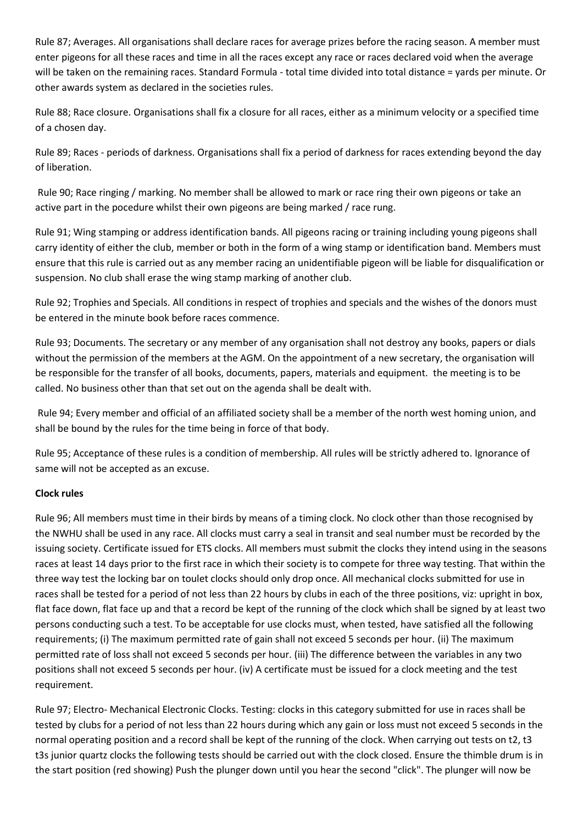Rule 87; Averages. All organisations shall declare races for average prizes before the racing season. A member must enter pigeons for all these races and time in all the races except any race or races declared void when the average will be taken on the remaining races. Standard Formula - total time divided into total distance = yards per minute. Or other awards system as declared in the societies rules.

Rule 88; Race closure. Organisations shall fix a closure for all races, either as a minimum velocity or a specified time of a chosen day.

Rule 89; Races - periods of darkness. Organisations shall fix a period of darkness for races extending beyond the day of liberation.

Rule 90; Race ringing / marking. No member shall be allowed to mark or race ring their own pigeons or take an active part in the pocedure whilst their own pigeons are being marked / race rung.

Rule 91; Wing stamping or address identification bands. All pigeons racing or training including young pigeons shall carry identity of either the club, member or both in the form of a wing stamp or identification band. Members must ensure that this rule is carried out as any member racing an unidentifiable pigeon will be liable for disqualification or suspension. No club shall erase the wing stamp marking of another club.

Rule 92; Trophies and Specials. All conditions in respect of trophies and specials and the wishes of the donors must be entered in the minute book before races commence.

Rule 93; Documents. The secretary or any member of any organisation shall not destroy any books, papers or dials without the permission of the members at the AGM. On the appointment of a new secretary, the organisation will be responsible for the transfer of all books, documents, papers, materials and equipment. the meeting is to be called. No business other than that set out on the agenda shall be dealt with.

Rule 94; Every member and official of an affiliated society shall be a member of the north west homing union, and shall be bound by the rules for the time being in force of that body.

Rule 95; Acceptance of these rules is a condition of membership. All rules will be strictly adhered to. Ignorance of same will not be accepted as an excuse.

# **Clock rules**

Rule 96; All members must time in their birds by means of a timing clock. No clock other than those recognised by the NWHU shall be used in any race. All clocks must carry a seal in transit and seal number must be recorded by the issuing society. Certificate issued for ETS clocks. All members must submit the clocks they intend using in the seasons races at least 14 days prior to the first race in which their society is to compete for three way testing. That within the three way test the locking bar on toulet clocks should only drop once. All mechanical clocks submitted for use in races shall be tested for a period of not less than 22 hours by clubs in each of the three positions, viz: upright in box, flat face down, flat face up and that a record be kept of the running of the clock which shall be signed by at least two persons conducting such a test. To be acceptable for use clocks must, when tested, have satisfied all the following requirements; (i) The maximum permitted rate of gain shall not exceed 5 seconds per hour. (ii) The maximum permitted rate of loss shall not exceed 5 seconds per hour. (iii) The difference between the variables in any two positions shall not exceed 5 seconds per hour. (iv) A certificate must be issued for a clock meeting and the test requirement.

Rule 97; Electro- Mechanical Electronic Clocks. Testing: clocks in this category submitted for use in races shall be tested by clubs for a period of not less than 22 hours during which any gain or loss must not exceed 5 seconds in the normal operating position and a record shall be kept of the running of the clock. When carrying out tests on t2, t3 t3s junior quartz clocks the following tests should be carried out with the clock closed. Ensure the thimble drum is in the start position (red showing) Push the plunger down until you hear the second "click". The plunger will now be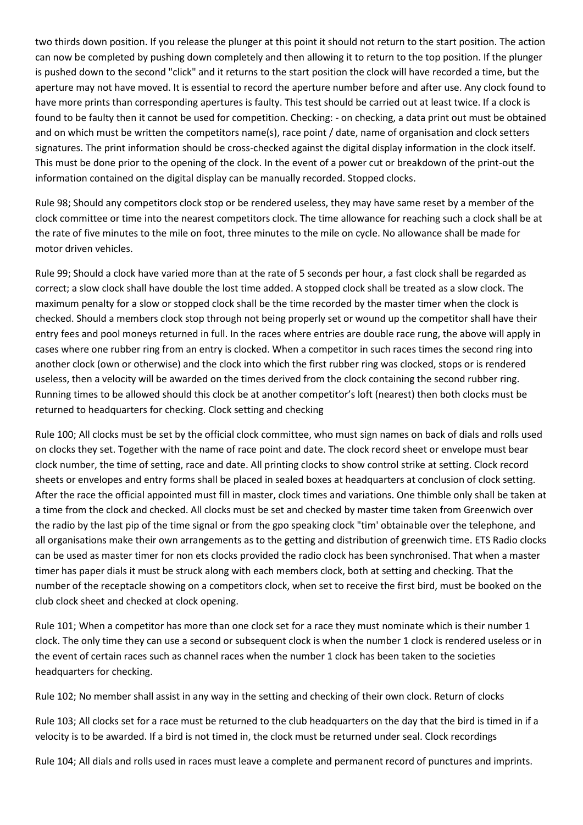two thirds down position. If you release the plunger at this point it should not return to the start position. The action can now be completed by pushing down completely and then allowing it to return to the top position. If the plunger is pushed down to the second "click" and it returns to the start position the clock will have recorded a time, but the aperture may not have moved. It is essential to record the aperture number before and after use. Any clock found to have more prints than corresponding apertures is faulty. This test should be carried out at least twice. If a clock is found to be faulty then it cannot be used for competition. Checking: - on checking, a data print out must be obtained and on which must be written the competitors name(s), race point / date, name of organisation and clock setters signatures. The print information should be cross-checked against the digital display information in the clock itself. This must be done prior to the opening of the clock. In the event of a power cut or breakdown of the print-out the information contained on the digital display can be manually recorded. Stopped clocks.

Rule 98; Should any competitors clock stop or be rendered useless, they may have same reset by a member of the clock committee or time into the nearest competitors clock. The time allowance for reaching such a clock shall be at the rate of five minutes to the mile on foot, three minutes to the mile on cycle. No allowance shall be made for motor driven vehicles.

Rule 99; Should a clock have varied more than at the rate of 5 seconds per hour, a fast clock shall be regarded as correct; a slow clock shall have double the lost time added. A stopped clock shall be treated as a slow clock. The maximum penalty for a slow or stopped clock shall be the time recorded by the master timer when the clock is checked. Should a members clock stop through not being properly set or wound up the competitor shall have their entry fees and pool moneys returned in full. In the races where entries are double race rung, the above will apply in cases where one rubber ring from an entry is clocked. When a competitor in such races times the second ring into another clock (own or otherwise) and the clock into which the first rubber ring was clocked, stops or is rendered useless, then a velocity will be awarded on the times derived from the clock containing the second rubber ring. Running times to be allowed should this clock be at another competitor's loft (nearest) then both clocks must be returned to headquarters for checking. Clock setting and checking

Rule 100; All clocks must be set by the official clock committee, who must sign names on back of dials and rolls used on clocks they set. Together with the name of race point and date. The clock record sheet or envelope must bear clock number, the time of setting, race and date. All printing clocks to show control strike at setting. Clock record sheets or envelopes and entry forms shall be placed in sealed boxes at headquarters at conclusion of clock setting. After the race the official appointed must fill in master, clock times and variations. One thimble only shall be taken at a time from the clock and checked. All clocks must be set and checked by master time taken from Greenwich over the radio by the last pip of the time signal or from the gpo speaking clock "tim' obtainable over the telephone, and all organisations make their own arrangements as to the getting and distribution of greenwich time. ETS Radio clocks can be used as master timer for non ets clocks provided the radio clock has been synchronised. That when a master timer has paper dials it must be struck along with each members clock, both at setting and checking. That the number of the receptacle showing on a competitors clock, when set to receive the first bird, must be booked on the club clock sheet and checked at clock opening.

Rule 101; When a competitor has more than one clock set for a race they must nominate which is their number 1 clock. The only time they can use a second or subsequent clock is when the number 1 clock is rendered useless or in the event of certain races such as channel races when the number 1 clock has been taken to the societies headquarters for checking.

Rule 102; No member shall assist in any way in the setting and checking of their own clock. Return of clocks

Rule 103; All clocks set for a race must be returned to the club headquarters on the day that the bird is timed in if a velocity is to be awarded. If a bird is not timed in, the clock must be returned under seal. Clock recordings

Rule 104; All dials and rolls used in races must leave a complete and permanent record of punctures and imprints.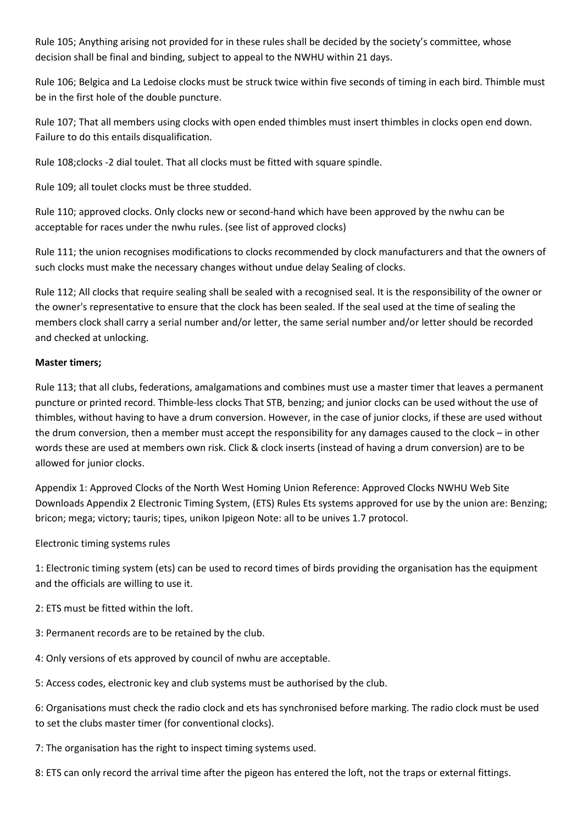Rule 105; Anything arising not provided for in these rules shall be decided by the society's committee, whose decision shall be final and binding, subject to appeal to the NWHU within 21 days.

Rule 106; Belgica and La Ledoise clocks must be struck twice within five seconds of timing in each bird. Thimble must be in the first hole of the double puncture.

Rule 107; That all members using clocks with open ended thimbles must insert thimbles in clocks open end down. Failure to do this entails disqualification.

Rule 108;clocks -2 dial toulet. That all clocks must be fitted with square spindle.

Rule 109; all toulet clocks must be three studded.

Rule 110; approved clocks. Only clocks new or second-hand which have been approved by the nwhu can be acceptable for races under the nwhu rules. (see list of approved clocks)

Rule 111; the union recognises modifications to clocks recommended by clock manufacturers and that the owners of such clocks must make the necessary changes without undue delay Sealing of clocks.

Rule 112; All clocks that require sealing shall be sealed with a recognised seal. It is the responsibility of the owner or the owner's representative to ensure that the clock has been sealed. If the seal used at the time of sealing the members clock shall carry a serial number and/or letter, the same serial number and/or letter should be recorded and checked at unlocking.

### **Master timers;**

Rule 113; that all clubs, federations, amalgamations and combines must use a master timer that leaves a permanent puncture or printed record. Thimble-less clocks That STB, benzing; and junior clocks can be used without the use of thimbles, without having to have a drum conversion. However, in the case of junior clocks, if these are used without the drum conversion, then a member must accept the responsibility for any damages caused to the clock – in other words these are used at members own risk. Click & clock inserts (instead of having a drum conversion) are to be allowed for junior clocks.

Appendix 1: Approved Clocks of the North West Homing Union Reference: Approved Clocks NWHU Web Site Downloads Appendix 2 Electronic Timing System, (ETS) Rules Ets systems approved for use by the union are: Benzing; bricon; mega; victory; tauris; tipes, unikon Ipigeon Note: all to be unives 1.7 protocol.

Electronic timing systems rules

1: Electronic timing system (ets) can be used to record times of birds providing the organisation has the equipment and the officials are willing to use it.

2: ETS must be fitted within the loft.

- 3: Permanent records are to be retained by the club.
- 4: Only versions of ets approved by council of nwhu are acceptable.

5: Access codes, electronic key and club systems must be authorised by the club.

6: Organisations must check the radio clock and ets has synchronised before marking. The radio clock must be used to set the clubs master timer (for conventional clocks).

7: The organisation has the right to inspect timing systems used.

8: ETS can only record the arrival time after the pigeon has entered the loft, not the traps or external fittings.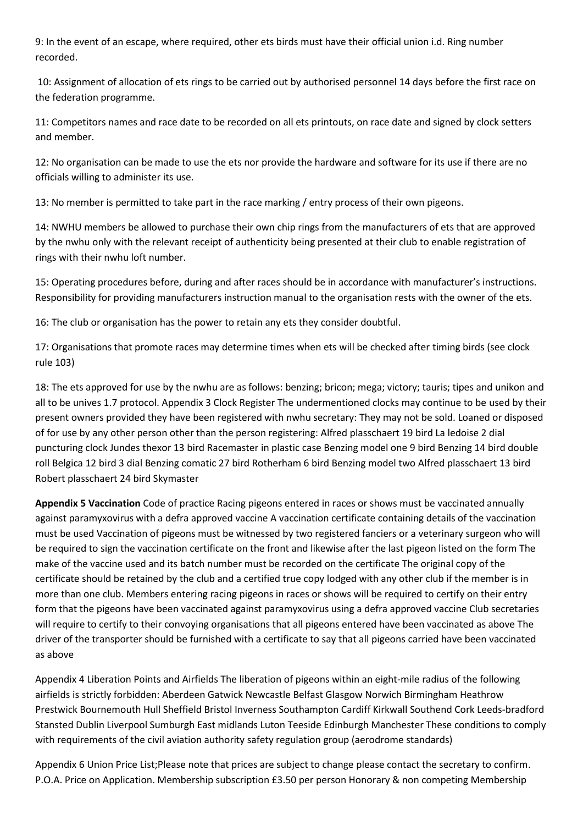9: In the event of an escape, where required, other ets birds must have their official union i.d. Ring number recorded.

10: Assignment of allocation of ets rings to be carried out by authorised personnel 14 days before the first race on the federation programme.

11: Competitors names and race date to be recorded on all ets printouts, on race date and signed by clock setters and member.

12: No organisation can be made to use the ets nor provide the hardware and software for its use if there are no officials willing to administer its use.

13: No member is permitted to take part in the race marking / entry process of their own pigeons.

14: NWHU members be allowed to purchase their own chip rings from the manufacturers of ets that are approved by the nwhu only with the relevant receipt of authenticity being presented at their club to enable registration of rings with their nwhu loft number.

15: Operating procedures before, during and after races should be in accordance with manufacturer's instructions. Responsibility for providing manufacturers instruction manual to the organisation rests with the owner of the ets.

16: The club or organisation has the power to retain any ets they consider doubtful.

17: Organisations that promote races may determine times when ets will be checked after timing birds (see clock rule 103)

18: The ets approved for use by the nwhu are as follows: benzing; bricon; mega; victory; tauris; tipes and unikon and all to be unives 1.7 protocol. Appendix 3 Clock Register The undermentioned clocks may continue to be used by their present owners provided they have been registered with nwhu secretary: They may not be sold. Loaned or disposed of for use by any other person other than the person registering: Alfred plasschaert 19 bird La ledoise 2 dial puncturing clock Jundes thexor 13 bird Racemaster in plastic case Benzing model one 9 bird Benzing 14 bird double roll Belgica 12 bird 3 dial Benzing comatic 27 bird Rotherham 6 bird Benzing model two Alfred plasschaert 13 bird Robert plasschaert 24 bird Skymaster

**Appendix 5 Vaccination** Code of practice Racing pigeons entered in races or shows must be vaccinated annually against paramyxovirus with a defra approved vaccine A vaccination certificate containing details of the vaccination must be used Vaccination of pigeons must be witnessed by two registered fanciers or a veterinary surgeon who will be required to sign the vaccination certificate on the front and likewise after the last pigeon listed on the form The make of the vaccine used and its batch number must be recorded on the certificate The original copy of the certificate should be retained by the club and a certified true copy lodged with any other club if the member is in more than one club. Members entering racing pigeons in races or shows will be required to certify on their entry form that the pigeons have been vaccinated against paramyxovirus using a defra approved vaccine Club secretaries will require to certify to their convoying organisations that all pigeons entered have been vaccinated as above The driver of the transporter should be furnished with a certificate to say that all pigeons carried have been vaccinated as above

Appendix 4 Liberation Points and Airfields The liberation of pigeons within an eight-mile radius of the following airfields is strictly forbidden: Aberdeen Gatwick Newcastle Belfast Glasgow Norwich Birmingham Heathrow Prestwick Bournemouth Hull Sheffield Bristol Inverness Southampton Cardiff Kirkwall Southend Cork Leeds-bradford Stansted Dublin Liverpool Sumburgh East midlands Luton Teeside Edinburgh Manchester These conditions to comply with requirements of the civil aviation authority safety regulation group (aerodrome standards)

Appendix 6 Union Price List;Please note that prices are subject to change please contact the secretary to confirm. P.O.A. Price on Application. Membership subscription £3.50 per person Honorary & non competing Membership